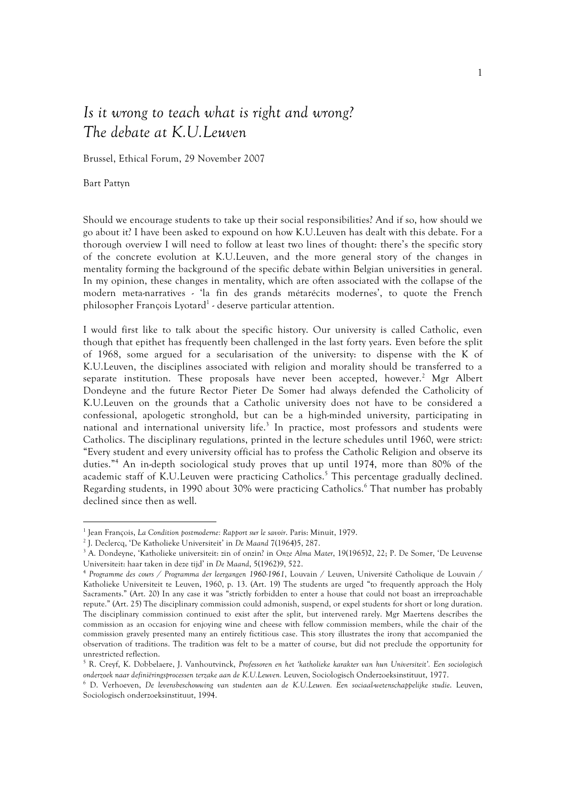## Is it wrong to teach what is right and wrong? The debate at K.U.Leuven

Brussel, Ethical Forum, 29 November 2007

Bart Pattyn

 $\overline{a}$ 

Should we encourage students to take up their social responsibilities? And if so, how should we go about it? I have been asked to expound on how K.U.Leuven has dealt with this debate. For a thorough overview I will need to follow at least two lines of thought: there's the specific story of the concrete evolution at K.U.Leuven, and the more general story of the changes in mentality forming the background of the specific debate within Belgian universities in general. In my opinion, these changes in mentality, which are often associated with the collapse of the modern meta-narratives - 'la fin des grands métarécits modernes', to quote the French philosopher François Lyotard<sup>1</sup> - deserve particular attention.

I would first like to talk about the specific history. Our university is called Catholic, even though that epithet has frequently been challenged in the last forty years. Even before the split of 1968, some argued for a secularisation of the university: to dispense with the K of K.U.Leuven, the disciplines associated with religion and morality should be transferred to a separate institution. These proposals have never been accepted, however.<sup>2</sup> Mgr Albert Dondeyne and the future Rector Pieter De Somer had always defended the Catholicity of K.U.Leuven on the grounds that a Catholic university does not have to be considered a confessional, apologetic stronghold, but can be a high-minded university, participating in national and international university life.<sup>3</sup> In practice, most professors and students were Catholics. The disciplinary regulations, printed in the lecture schedules until 1960, were strict: "Every student and every university official has to profess the Catholic Religion and observe its duties."<sup>4</sup> An in-depth sociological study proves that up until 1974, more than 80% of the academic staff of K.U.Leuven were practicing Catholics.<sup>5</sup> This percentage gradually declined. Regarding students, in 1990 about 30% were practicing Catholics.<sup>6</sup> That number has probably declined since then as well.

<sup>&</sup>lt;sup>1</sup> Jean François, La Condition postmoderne: Rapport sur le savoir. Paris: Minuit, 1979.

<sup>2</sup> J. Declercq, 'De Katholieke Universiteit' in De Maand 7(1964)5, 287.

<sup>&</sup>lt;sup>3</sup> A. Dondeyne, 'Katholieke universiteit: zin of onzin? in Onze Alma Mater, 19(1965)2, 22; P. De Somer, 'De Leuvense Universiteit: haar taken in deze tijd' in De Maand, 5(1962)9, 522.

<sup>4</sup> Programme des cours / Programma der leergangen 1960-1961, Louvain / Leuven, Université Catholique de Louvain / Katholieke Universiteit te Leuven, 1960, p. 13. (Art. 19) The students are urged "to frequently approach the Holy Sacraments." (Art. 20) In any case it was "strictly forbidden to enter a house that could not boast an irreproachable repute." (Art. 25) The disciplinary commission could admonish, suspend, or expel students for short or long duration. The disciplinary commission continued to exist after the split, but intervened rarely. Mgr Maertens describes the commission as an occasion for enjoying wine and cheese with fellow commission members, while the chair of the commission gravely presented many an entirely fictitious case. This story illustrates the irony that accompanied the observation of traditions. The tradition was felt to be a matter of course, but did not preclude the opportunity for unrestricted reflection.

<sup>&</sup>lt;sup>5</sup> R. Creyf, K. Dobbelaere, J. Vanhoutvinck, Professoren en het 'katholieke karakter van hun Universiteit'. Een sociologisch onderzoek naar definiëringsprocessen terzake aan de K.U.Leuven. Leuven, Sociologisch Onderzoeksinstituut, 1977.

<sup>&</sup>lt;sup>6</sup> D. Verhoeven, De levensbeschouwing van studenten aan de K.U.Leuven. Een sociaal-wetenschappelijke studie. Leuven, Sociologisch onderzoeksinstituut, 1994.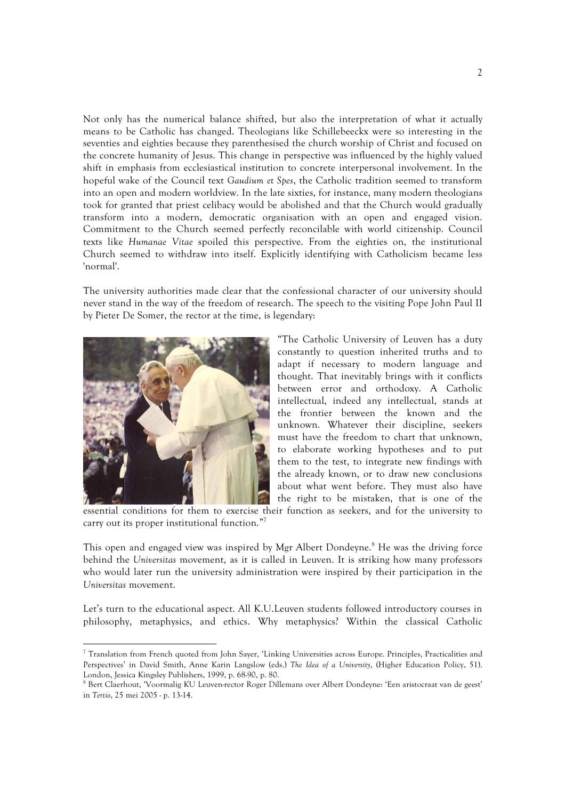Not only has the numerical balance shifted, but also the interpretation of what it actually means to be Catholic has changed. Theologians like Schillebeeckx were so interesting in the seventies and eighties because they parenthesised the church worship of Christ and focused on the concrete humanity of Jesus. This change in perspective was influenced by the highly valued shift in emphasis from ecclesiastical institution to concrete interpersonal involvement. In the hopeful wake of the Council text Gaudium et Spes, the Catholic tradition seemed to transform into an open and modern worldview. In the late sixties, for instance, many modern theologians took for granted that priest celibacy would be abolished and that the Church would gradually transform into a modern, democratic organisation with an open and engaged vision. Commitment to the Church seemed perfectly reconcilable with world citizenship. Council texts like Humanae Vitae spoiled this perspective. From the eighties on, the institutional Church seemed to withdraw into itself. Explicitly identifying with Catholicism became less 'normal'.

The university authorities made clear that the confessional character of our university should never stand in the way of the freedom of research. The speech to the visiting Pope John Paul II by Pieter De Somer, the rector at the time, is legendary:



 $\overline{a}$ 

"The Catholic University of Leuven has a duty constantly to question inherited truths and to adapt if necessary to modern language and thought. That inevitably brings with it conflicts between error and orthodoxy. A Catholic intellectual, indeed any intellectual, stands at the frontier between the known and the unknown. Whatever their discipline, seekers must have the freedom to chart that unknown, to elaborate working hypotheses and to put them to the test, to integrate new findings with the already known, or to draw new conclusions about what went before. They must also have the right to be mistaken, that is one of the

essential conditions for them to exercise their function as seekers, and for the university to carry out its proper institutional function."<sup>7</sup>

This open and engaged view was inspired by Mgr Albert Dondeyne.<sup>8</sup> He was the driving force behind the Universitas movement, as it is called in Leuven. It is striking how many professors who would later run the university administration were inspired by their participation in the Universitas movement.

Let's turn to the educational aspect. All K.U.Leuven students followed introductory courses in philosophy, metaphysics, and ethics. Why metaphysics? Within the classical Catholic

<sup>7</sup> Translation from French quoted from John Sayer, 'Linking Universities across Europe. Principles, Practicalities and Perspectives' in David Smith, Anne Karin Langslow (eds.) The Idea of a University, (Higher Education Policy, 51). London, Jessica Kingsley Publishers, 1999, p. 68-90, p. 80.

<sup>8</sup> Bert Claerhout, 'Voormalig KU Leuven-rector Roger Dillemans over Albert Dondeyne: 'Een aristocraat van de geest' in Tertio, 25 mei 2005 - p. 13-14.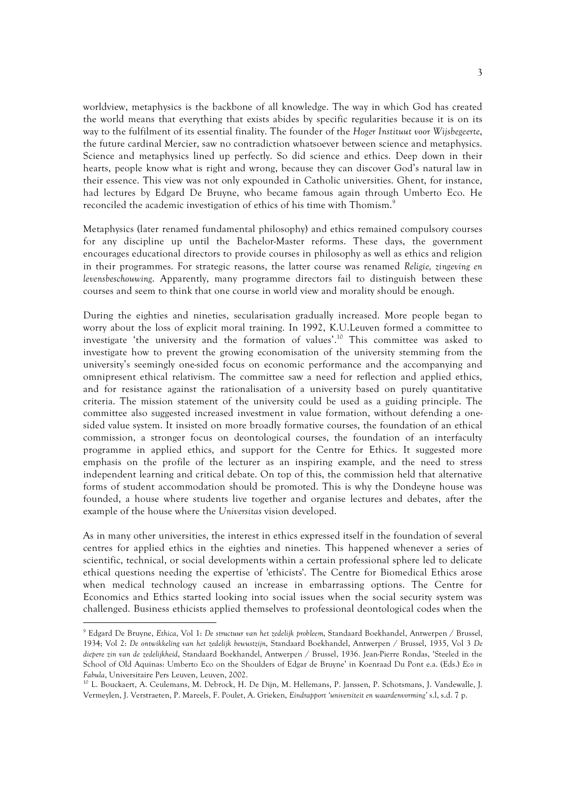worldview, metaphysics is the backbone of all knowledge. The way in which God has created the world means that everything that exists abides by specific regularities because it is on its way to the fulfilment of its essential finality. The founder of the Hoger Instituut voor Wijsbegeerte, the future cardinal Mercier, saw no contradiction whatsoever between science and metaphysics. Science and metaphysics lined up perfectly. So did science and ethics. Deep down in their hearts, people know what is right and wrong, because they can discover God's natural law in their essence. This view was not only expounded in Catholic universities. Ghent, for instance, had lectures by Edgard De Bruyne, who became famous again through Umberto Eco. He reconciled the academic investigation of ethics of his time with Thomism.<sup>9</sup>

Metaphysics (later renamed fundamental philosophy) and ethics remained compulsory courses for any discipline up until the Bachelor-Master reforms. These days, the government encourages educational directors to provide courses in philosophy as well as ethics and religion in their programmes. For strategic reasons, the latter course was renamed Religie, zingeving en levensbeschouwing. Apparently, many programme directors fail to distinguish between these courses and seem to think that one course in world view and morality should be enough.

During the eighties and nineties, secularisation gradually increased. More people began to worry about the loss of explicit moral training. In 1992, K.U.Leuven formed a committee to investigate 'the university and the formation of values'.<sup>10</sup> This committee was asked to investigate how to prevent the growing economisation of the university stemming from the university's seemingly one-sided focus on economic performance and the accompanying and omnipresent ethical relativism. The committee saw a need for reflection and applied ethics, and for resistance against the rationalisation of a university based on purely quantitative criteria. The mission statement of the university could be used as a guiding principle. The committee also suggested increased investment in value formation, without defending a onesided value system. It insisted on more broadly formative courses, the foundation of an ethical commission, a stronger focus on deontological courses, the foundation of an interfaculty programme in applied ethics, and support for the Centre for Ethics. It suggested more emphasis on the profile of the lecturer as an inspiring example, and the need to stress independent learning and critical debate. On top of this, the commission held that alternative forms of student accommodation should be promoted. This is why the Dondeyne house was founded, a house where students live together and organise lectures and debates, after the example of the house where the Universitas vision developed.

As in many other universities, the interest in ethics expressed itself in the foundation of several centres for applied ethics in the eighties and nineties. This happened whenever a series of scientific, technical, or social developments within a certain professional sphere led to delicate ethical questions needing the expertise of 'ethicists'. The Centre for Biomedical Ethics arose when medical technology caused an increase in embarrassing options. The Centre for Economics and Ethics started looking into social issues when the social security system was challenged. Business ethicists applied themselves to professional deontological codes when the

 $\overline{a}$ 

<sup>9</sup> Edgard De Bruyne, Ethica, Vol 1: De structuur van het zedelijk probleem, Standaard Boekhandel, Antwerpen / Brussel, 1934; Vol 2: De ontwikkeling van het zedelijk bewustzijn, Standaard Boekhandel, Antwerpen / Brussel, 1935, Vol 3 De diepere zin van de zedelijkheid, Standaard Boekhandel, Antwerpen / Brussel, 1936. Jean-Pierre Rondas, 'Steeled in the School of Old Aquinas: Umberto Eco on the Shoulders of Edgar de Bruyne' in Koenraad Du Pont e.a. (Eds.) Eco in Fabula, Universitaire Pers Leuven, Leuven, 2002.

<sup>10</sup> L. Bouckaert, A. Ceulemans, M. Debrock, H. De Dijn, M. Hellemans, P. Janssen, P. Schotsmans, J. Vandewalle, J. Vermeylen, J. Verstraeten, P. Mareels, F. Poulet, A. Grieken, Eindrapport 'universiteit en waardenvorming' s.l, s.d. 7 p.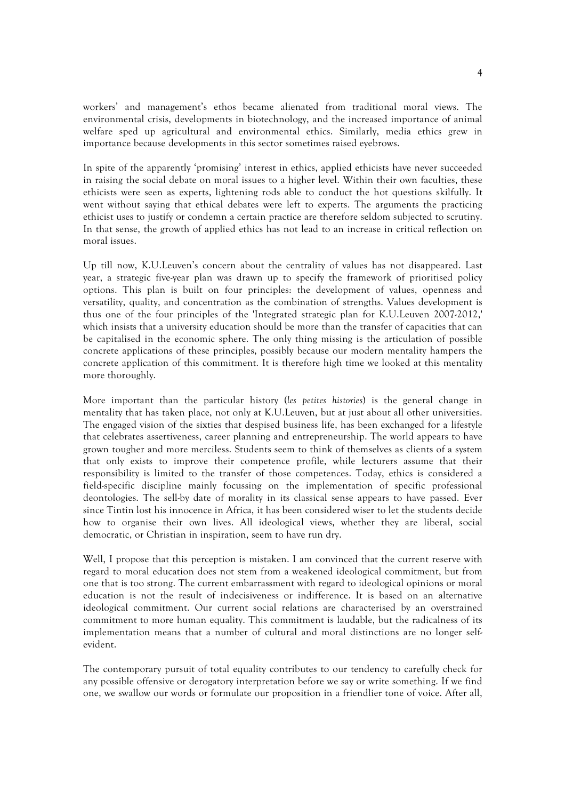workers' and management's ethos became alienated from traditional moral views. The environmental crisis, developments in biotechnology, and the increased importance of animal welfare sped up agricultural and environmental ethics. Similarly, media ethics grew in importance because developments in this sector sometimes raised eyebrows.

In spite of the apparently 'promising' interest in ethics, applied ethicists have never succeeded in raising the social debate on moral issues to a higher level. Within their own faculties, these ethicists were seen as experts, lightening rods able to conduct the hot questions skilfully. It went without saying that ethical debates were left to experts. The arguments the practicing ethicist uses to justify or condemn a certain practice are therefore seldom subjected to scrutiny. In that sense, the growth of applied ethics has not lead to an increase in critical reflection on moral issues.

Up till now, K.U.Leuven's concern about the centrality of values has not disappeared. Last year, a strategic five-year plan was drawn up to specify the framework of prioritised policy options. This plan is built on four principles: the development of values, openness and versatility, quality, and concentration as the combination of strengths. Values development is thus one of the four principles of the 'Integrated strategic plan for K.U.Leuven 2007-2012,' which insists that a university education should be more than the transfer of capacities that can be capitalised in the economic sphere. The only thing missing is the articulation of possible concrete applications of these principles, possibly because our modern mentality hampers the concrete application of this commitment. It is therefore high time we looked at this mentality more thoroughly.

More important than the particular history (les petites histories) is the general change in mentality that has taken place, not only at K.U.Leuven, but at just about all other universities. The engaged vision of the sixties that despised business life, has been exchanged for a lifestyle that celebrates assertiveness, career planning and entrepreneurship. The world appears to have grown tougher and more merciless. Students seem to think of themselves as clients of a system that only exists to improve their competence profile, while lecturers assume that their responsibility is limited to the transfer of those competences. Today, ethics is considered a field-specific discipline mainly focussing on the implementation of specific professional deontologies. The sell-by date of morality in its classical sense appears to have passed. Ever since Tintin lost his innocence in Africa, it has been considered wiser to let the students decide how to organise their own lives. All ideological views, whether they are liberal, social democratic, or Christian in inspiration, seem to have run dry.

Well, I propose that this perception is mistaken. I am convinced that the current reserve with regard to moral education does not stem from a weakened ideological commitment, but from one that is too strong. The current embarrassment with regard to ideological opinions or moral education is not the result of indecisiveness or indifference. It is based on an alternative ideological commitment. Our current social relations are characterised by an overstrained commitment to more human equality. This commitment is laudable, but the radicalness of its implementation means that a number of cultural and moral distinctions are no longer selfevident.

The contemporary pursuit of total equality contributes to our tendency to carefully check for any possible offensive or derogatory interpretation before we say or write something. If we find one, we swallow our words or formulate our proposition in a friendlier tone of voice. After all,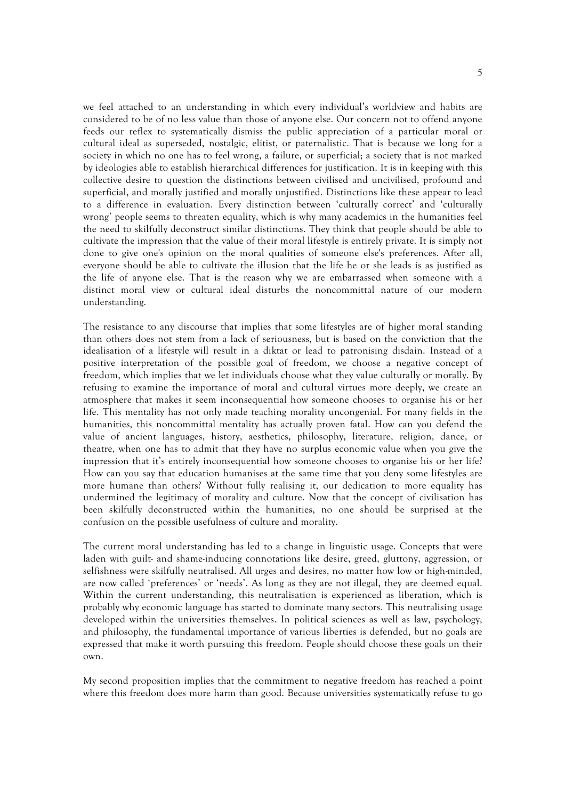we feel attached to an understanding in which every individual's worldview and habits are considered to be of no less value than those of anyone else. Our concern not to offend anyone feeds our reflex to systematically dismiss the public appreciation of a particular moral or cultural ideal as superseded, nostalgic, elitist, or paternalistic. That is because we long for a society in which no one has to feel wrong, a failure, or superficial; a society that is not marked by ideologies able to establish hierarchical differences for justification. It is in keeping with this collective desire to question the distinctions between civilised and uncivilised, profound and superficial, and morally justified and morally unjustified. Distinctions like these appear to lead to a difference in evaluation. Every distinction between 'culturally correct' and 'culturally wrong' people seems to threaten equality, which is why many academics in the humanities feel the need to skilfully deconstruct similar distinctions. They think that people should be able to cultivate the impression that the value of their moral lifestyle is entirely private. It is simply not done to give one's opinion on the moral qualities of someone else's preferences. After all, everyone should be able to cultivate the illusion that the life he or she leads is as justified as the life of anyone else. That is the reason why we are embarrassed when someone with a distinct moral view or cultural ideal disturbs the noncommittal nature of our modern understanding.

The resistance to any discourse that implies that some lifestyles are of higher moral standing than others does not stem from a lack of seriousness, but is based on the conviction that the idealisation of a lifestyle will result in a diktat or lead to patronising disdain. Instead of a positive interpretation of the possible goal of freedom, we choose a negative concept of freedom, which implies that we let individuals choose what they value culturally or morally. By refusing to examine the importance of moral and cultural virtues more deeply, we create an atmosphere that makes it seem inconsequential how someone chooses to organise his or her life. This mentality has not only made teaching morality uncongenial. For many fields in the humanities, this noncommittal mentality has actually proven fatal. How can you defend the value of ancient languages, history, aesthetics, philosophy, literature, religion, dance, or theatre, when one has to admit that they have no surplus economic value when you give the impression that it's entirely inconsequential how someone chooses to organise his or her life? How can you say that education humanises at the same time that you deny some lifestyles are more humane than others? Without fully realising it, our dedication to more equality has undermined the legitimacy of morality and culture. Now that the concept of civilisation has been skilfully deconstructed within the humanities, no one should be surprised at the confusion on the possible usefulness of culture and morality.

The current moral understanding has led to a change in linguistic usage. Concepts that were laden with guilt- and shame-inducing connotations like desire, greed, gluttony, aggression, or selfishness were skilfully neutralised. All urges and desires, no matter how low or high-minded, are now called 'preferences' or 'needs'. As long as they are not illegal, they are deemed equal. Within the current understanding, this neutralisation is experienced as liberation, which is probably why economic language has started to dominate many sectors. This neutralising usage developed within the universities themselves. In political sciences as well as law, psychology, and philosophy, the fundamental importance of various liberties is defended, but no goals are expressed that make it worth pursuing this freedom. People should choose these goals on their own.

My second proposition implies that the commitment to negative freedom has reached a point where this freedom does more harm than good. Because universities systematically refuse to go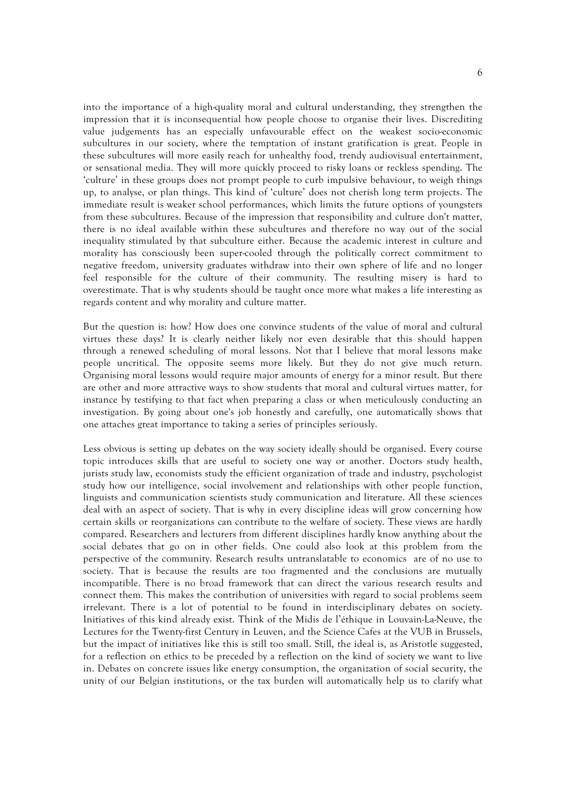into the importance of a high-quality moral and cultural understanding, they strengthen the impression that it is inconsequential how people choose to organise their lives. Discrediting value judgements has an especially unfavourable effect on the weakest socio-economic subcultures in our society, where the temptation of instant gratification is great. People in these subcultures will more easily reach for unhealthy food, trendy audiovisual entertainment, or sensational media. They will more quickly proceed to risky loans or reckless spending. The 'culture' in these groups does not prompt people to curb impulsive behaviour, to weigh things up, to analyse, or plan things. This kind of 'culture' does not cherish long term projects. The immediate result is weaker school performances, which limits the future options of youngsters from these subcultures. Because of the impression that responsibility and culture don't matter, there is no ideal available within these subcultures and therefore no way out of the social inequality stimulated by that subculture either. Because the academic interest in culture and morality has consciously been super-cooled through the politically correct commitment to negative freedom, university graduates withdraw into their own sphere of life and no longer feel responsible for the culture of their community. The resulting misery is hard to overestimate. That is why students should be taught once more what makes a life interesting as regards content and why morality and culture matter.

But the question is: how? How does one convince students of the value of moral and cultural virtues these days? It is clearly neither likely nor even desirable that this should happen through a renewed scheduling of moral lessons. Not that I believe that moral lessons make people uncritical. The opposite seems more likely. But they do not give much return. Organising moral lessons would require major amounts of energy for a minor result. But there are other and more attractive ways to show students that moral and cultural virtues matter, for instance by testifying to that fact when preparing a class or when meticulously conducting an investigation. By going about one's job honestly and carefully, one automatically shows that one attaches great importance to taking a series of principles seriously.

Less obvious is setting up debates on the way society ideally should be organised. Every course topic introduces skills that are useful to society one way or another. Doctors study health, jurists study law, economists study the efficient organization of trade and industry, psychologist study how our intelligence, social involvement and relationships with other people function, linguists and communication scientists study communication and literature. All these sciences deal with an aspect of society. That is why in every discipline ideas will grow concerning how certain skills or reorganizations can contribute to the welfare of society. These views are hardly compared. Researchers and lecturers from different disciplines hardly know anything about the social debates that go on in other fields. One could also look at this problem from the perspective of the community. Research results untranslatable to economics are of no use to society. That is because the results are too fragmented and the conclusions are mutually incompatible. There is no broad framework that can direct the various research results and connect them. This makes the contribution of universities with regard to social problems seem irrelevant. There is a lot of potential to be found in interdisciplinary debates on society. Initiatives of this kind already exist. Think of the Midis de l'éthique in Louvain-La-Neuve, the Lectures for the Twenty-first Century in Leuven, and the Science Cafes at the VUB in Brussels, but the impact of initiatives like this is still too small. Still, the ideal is, as Aristotle suggested, for a reflection on ethics to be preceded by a reflection on the kind of society we want to live in. Debates on concrete issues like energy consumption, the organization of social security, the unity of our Belgian institutions, or the tax burden will automatically help us to clarify what